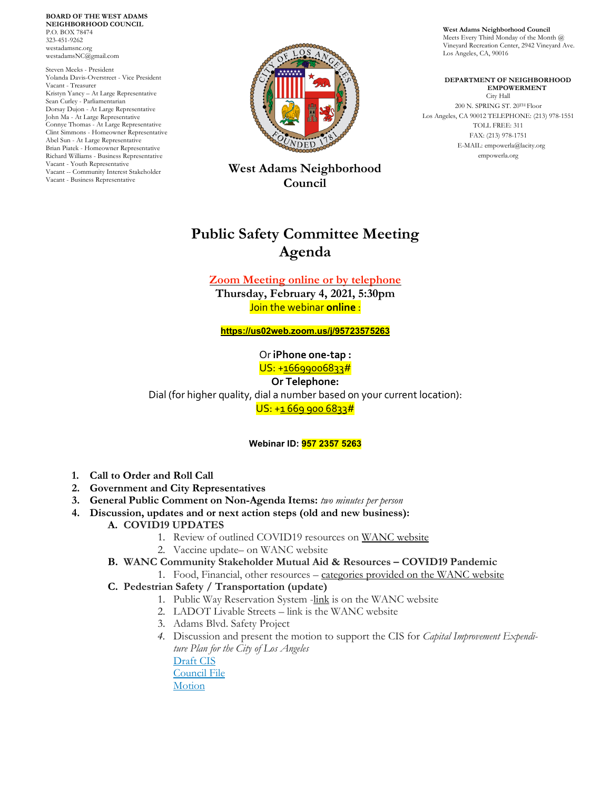**BOARD OF THE WEST ADAMS NEIGHBORHOOD COUNCIL** P.O. BOX 78474 323-451-9262 westadamsnc.org westadamsNC@gmail.com

Steven Meeks - President Yolanda Davis-Overstreet - Vice President Vacant - Treasurer Kristyn Yancy – At Large Representative Sean Curley - Parliamentarian Dorsay Dujon - At Large Representative John Ma - At Large Representative Connye Thomas - At Large Representative Clint Simmons - Homeowner Representative Abel Sun - At Large Representative Brian Piatek - Homeowner Representative Richard Williams - Business Representative Vacant - Youth Representative Vacant -- Community Interest Stakeholder Vacant - Business Representative



**West Adams Neighborhood Council**

# **Public Safety Committee Meeting Agenda**

**Zoom Meeting online or by telephone Thursday, February 4, 2021, 5:30pm**

Join the webinar **online** :

**<https://us02web.zoom.us/j/95723575263>**

Or **iPhone one-tap :** US: +16699006833#

**Or Telephone:** Dial (for higher quality, dial a number based on your current location):  $US: +1 669 900 6833#$ 

**Webinar ID: 957 2357 5263**

- **1. Call to Order and Roll Call**
- **2. Government and City Representatives**
- **3. General Public Comment on Non-Agenda Items:** *two minutes per person*
- **4. Discussion, updates and or next action steps (old and new business):**
	- **A. COVID19 UPDATES** 
		- 1. Review of outlined COVID19 resources on [WANC website](https://westadamsnc.org/)
		- 2. Vaccine update– on WANC website
	- **B. WANC Community Stakeholder Mutual Aid & Resources – COVID19 Pandemic**
		- 1. Food, Financial, other resources [categories provided on](https://westadamsnc.org/category/wanc-resources-updates/environment/) the WANC website
	- **C. Pedestrian Safety / Transportation (update)**
		- 1. Public Way Reservation System -link is on the WANC website
		- 2. LADOT Livable Streets link is the WANC website
		- 3. Adams Blvd. Safety Project
		- *4.* Discussion and present the motion to support the CIS for *Capital Improvement Expenditure Plan for the City of Los Angeles*

[Draft CIS](https://docs.google.com/document/d/1y3Vnqt2bllvestdupyh12ADMp_uTdnNd3Px5QMgRA4U/edit?usp=sharing) [Council File](https://cityclerk.lacity.org/lacityclerkconnect/index.cfm?fa=ccfi.viewrecord&cfnumber=21-0039) **[Motion](https://clkrep.lacity.org/onlinedocs/2021/21-0039_mot_01-12-2021.pdf)** 

**West Adams Neighborhood Council** Meets Every Third Monday of the Month @ Vineyard Recreation Center, 2942 Vineyard Ave. Los Angeles, CA, 90016

 **DEPARTMENT OF NEIGHBORHOOD EMPOWERMENT** City Hall 200 N. SPRING ST. 20TH Floor Los Angeles, CA 90012 TELEPHONE: (213) 978-1551 TOLL FREE: 311 FAX: (213) 978-1751 E-MAIL: empowerla@lacity.org empowerla.org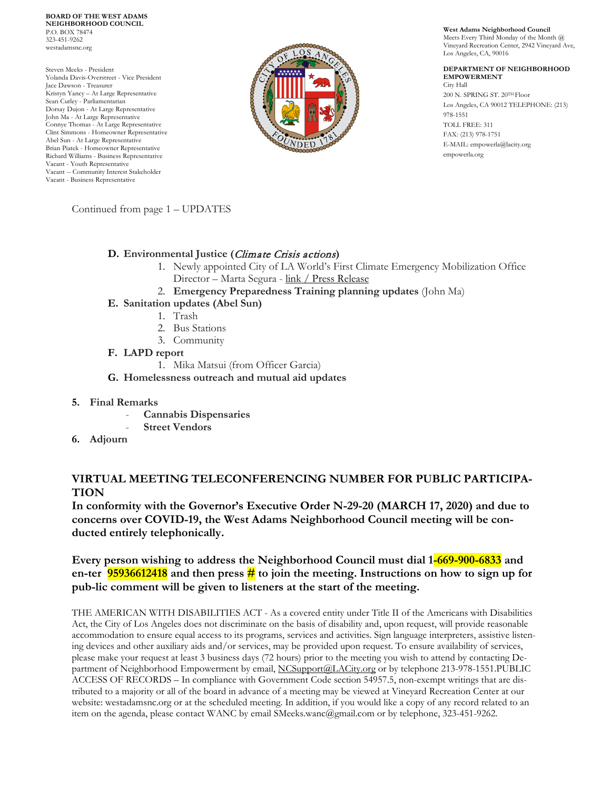**BOARD OF THE WEST ADAMS NEIGHBORHOOD COUNCIL** P.O. BOX 78474 323-451-9262 westadamsnc.org

Steven Meeks - President Yolanda Davis-Overstreet - Vice President Jace Dawson - Treasurer Kristyn Yancy – At Large Representative Sean Curley - Parliamentarian Dorsay Dujon - At Large Representative John Ma - At Large Representative Connye Thomas - At Large Representative Clint Simmons - Homeowner Representative Abel Sun - At Large Representative Brian Piatek - Homeowner Representative Richard Williams - Business Representative Vacant - Youth Representative Vacant -- Community Interest Stakeholder Vacant - Business Representative



**West Adams Neighborhood Council** Meets Every Third Monday of the Month @

Vineyard Recreation Center, 2942 Vineyard Ave, Los Angeles, CA, 90016

#### **DEPARTMENT OF NEIGHBORHOOD EMPOWERMENT** City Hall 200 N. SPRING ST. 20TH Floor Los Angeles, CA 90012 TELEPHONE: (213) 978-1551 TOLL FREE: 311 FAX: (213) 978-1751 E-MAIL: empowerla@lacity.org empowerla.org

Continued from page 1 – UPDATES

### **D. Environmental Justice (**Climate Crisis actions**)**

- 1. Newly appointed City of LA World's First Climate Emergency Mobilization Office Director – Marta Segura - [link](https://westadamsnc.org/category/wanc-resources-updates/environment/) / [Press Release](http://www.councilmemberpaulkoretz.com/sites/g/files/wph1191/f/Paul%20Koretz%20-%20Hiring%20of%20CEMO%20Director%20press%20release.pdf?fbclid=IwAR2cfhbVtXU58BbvDVXi7asG5gAIQ8LknPofxE6XOuSLfNW2TBh-vZAeWz8)
- 2. **Emergency Preparedness Training planning updates** (John Ma)
- **E. Sanitation updates (Abel Sun)**
	- 1. Trash
	- 2. Bus Stations
	- 3. Community
- **F. LAPD report** 
	- 1. Mika Matsui (from Officer Garcia)
- **G. Homelessness outreach and mutual aid updates**
- **5. Final Remarks**
	- **Cannabis Dispensaries**
	- **Street Vendors**
- **6. Adjourn**

# **VIRTUAL MEETING TELECONFERENCING NUMBER FOR PUBLIC PARTICIPA-TION**

**In conformity with the Governor's Executive Order N-29-20 (MARCH 17, 2020) and due to concerns over COVID-19, the West Adams Neighborhood Council meeting will be conducted entirely telephonically.**

# **Every person wishing to address the Neighborhood Council must dial 1-669-900-6833 and en-ter 95936612418 and then press # to join the meeting. Instructions on how to sign up for pub-lic comment will be given to listeners at the start of the meeting.**

THE AMERICAN WITH DISABILITIES ACT - As a covered entity under Title II of the Americans with Disabilities Act, the City of Los Angeles does not discriminate on the basis of disability and, upon request, will provide reasonable accommodation to ensure equal access to its programs, services and activities. Sign language interpreters, assistive listening devices and other auxiliary aids and/or services, may be provided upon request. To ensure availability of services, please make your request at least 3 business days (72 hours) prior to the meeting you wish to attend by contacting De-partment of Neighborhood Empowerment by email, [NCSupport@LACity.org](mailto:NCSupport@LACity.org) or by telephone 213-978-1551.PUBLIC ACCESS OF RECORDS – In compliance with Government Code section 54957.5, non-exempt writings that are distributed to a majority or all of the board in advance of a meeting may be viewed at Vineyard Recreation Center at our website: westadamsnc.org or at the scheduled meeting. In addition, if you would like a copy of any record related to an item on the agenda, please contact WANC by email SMeeks.wanc@gmail.com or by telephone, 323-451-9262.